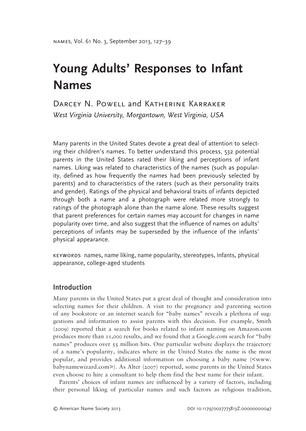# **Young Adults' Responses to Infant Names**

Darcey N. Powell and Katherine Karraker *West Virginia University, Morgantown, West Virginia, USA*

Many parents in the United States devote a great deal of attention to selecting their children's names. To better understand this process, 532 potential parents in the United States rated their liking and perceptions of infant names. Liking was related to characteristics of the names (such as popularity, defined as how frequently the names had been previously selected by parents) and to characteristics of the raters (such as their personality traits and gender). Ratings of the physical and behavioral traits of infants depicted through both a name and a photograph were related more strongly to ratings of the photograph alone than the name alone. These results suggest that parent preferences for certain names may account for changes in name popularity over time, and also suggest that the influence of names on adults' perceptions of infants may be superseded by the influence of the infants' physical appearance.

keywords names, name liking, name popularity, stereotypes, infants, physical appearance, college-aged students

# Introduction

Many parents in the United States put a great deal of thought and consideration into selecting names for their children. A visit to the pregnancy and parenting section of any bookstore or an internet search for "baby names" reveals a plethora of suggestions and information to assist parents with this decision. For example, Smith (2009) reported that a search for books related to infant naming on Amazon.com produces more than 11,000 results, and we found that a Google.com search for "baby names" produces over 55 million hits. One particular website displays the trajectory of a name's popularity, indicates where in the United States the name is the most popular, and provides additional information on choosing a baby name (<www. babynamewizard.com>). As Alter (2007) reported, some parents in the United States even choose to hire a consultant to help them find the best name for their infant.

Parents' choices of infant names are influenced by a variety of factors, including their personal liking of particular names and such factors as religious tradition,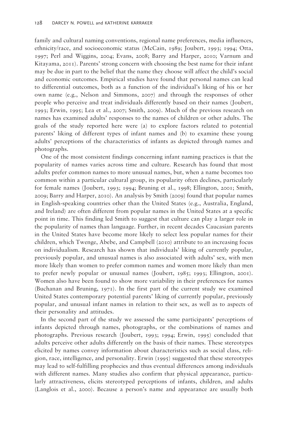family and cultural naming conventions, regional name preferences, media influences, ethnicity/race, and socioeconomic status (McCain, 1989; Joubert, 1993; 1994; Otta, 1997; Perl and Wiggins, 2004; Evans, 2008; Barry and Harper, 2010; Varnum and Kitayama, 2011). Parents' strong concern with choosing the best name for their infant may be due in part to the belief that the name they choose will affect the child's social and economic outcomes. Empirical studies have found that personal names can lead to differential outcomes, both as a function of the individual's liking of his or her own name (e.g., Nelson and Simmons, 2007) and through the responses of other people who perceive and treat individuals differently based on their names (Joubert, 1993; Erwin, 1995; Lea et al., 2007; Smith, 2009). Much of the previous research on names has examined adults' responses to the names of children or other adults. The goals of the study reported here were (a) to explore factors related to potential parents' liking of different types of infant names and (b) to examine these young adults' perceptions of the characteristics of infants as depicted through names and photographs.

One of the most consistent findings concerning infant naming practices is that the popularity of names varies across time and culture. Research has found that most adults prefer common names to more unusual names, but, when a name becomes too common within a particular cultural group, its popularity often declines, particularly for female names (Joubert, 1993; 1994; Bruning et al., 1998; Ellington, 2001; Smith, 2009; Barry and Harper, 2010). An analysis by Smith (2009) found that popular names in English-speaking countries other than the United States (e.g., Australia, England, and Ireland) are often different from popular names in the United States at a specific point in time. This finding led Smith to suggest that culture can play a larger role in the popularity of names than language. Further, in recent decades Caucasian parents in the United States have become more likely to select less popular names for their children, which Twenge, Abebe, and Campbell (2010) attribute to an increasing focus on individualism. Research has shown that individuals' liking of currently popular, previously popular, and unusual names is also associated with adults' sex, with men more likely than women to prefer common names and women more likely than men to prefer newly popular or unusual names (Joubert, 1985; 1993; Ellington, 2001). Women also have been found to show more variability in their preferences for names (Buchanan and Bruning, 1971). In the first part of the current study we examined United States contemporary potential parents' liking of currently popular, previously popular, and unusual infant names in relation to their sex, as well as to aspects of their personality and attitudes.

In the second part of the study we assessed the same participants' perceptions of infants depicted through names, photographs, or the combinations of names and photographs. Previous research (Joubert, 1993; 1994; Erwin, 1995) concluded that adults perceive other adults differently on the basis of their names. These stereotypes elicited by names convey information about characteristics such as social class, religion, race, intelligence, and personality. Erwin (1995) suggested that these stereotypes may lead to self-fulfilling prophecies and thus eventual differences among individuals with different names. Many studies also confirm that physical appearance, particularly attractiveness, elicits stereotyped perceptions of infants, children, and adults (Langlois et al., 2000). Because a person's name and appearance are usually both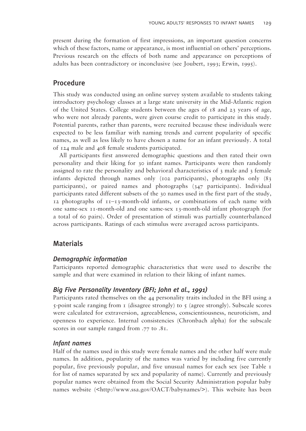present during the formation of first impressions, an important question concerns which of these factors, name or appearance, is most influential on others' perceptions. Previous research on the effects of both name and appearance on perceptions of adults has been contradictory or inconclusive (see Joubert, 1993; Erwin, 1995).

# Procedure

This study was conducted using an online survey system available to students taking introductory psychology classes at a large state university in the Mid-Atlantic region of the United States. College students between the ages of  $18$  and  $23$  years of age, who were not already parents, were given course credit to participate in this study. Potential parents, rather than parents, were recruited because these individuals were expected to be less familiar with naming trends and current popularity of specific names, as well as less likely to have chosen a name for an infant previously. A total of 124 male and 408 female students participated.

All participants first answered demographic questions and then rated their own personality and their liking for 30 infant names. Participants were then randomly assigned to rate the personality and behavioral characteristics of 3 male and 3 female infants depicted through names only (102 participants), photographs only (83 participants), or paired names and photographs (347 participants). Individual participants rated different subsets of the 30 names used in the first part of the study, 12 photographs of 11–13-month-old infants, or combinations of each name with one same-sex 11-month-old and one same-sex 13-month-old infant photograph (for a total of 60 pairs). Order of presentation of stimuli was partially counterbalanced across participants. Ratings of each stimulus were averaged across participants.

# **Materials**

# *Demographic information*

Participants reported demographic characteristics that were used to describe the sample and that were examined in relation to their liking of infant names.

# *Big Five Personality Inventory (BFI; John et al., 1991)*

Participants rated themselves on the 44 personality traits included in the BFI using a  $\varsigma$ -point scale ranging from 1 (disagree strongly) to  $\varsigma$  (agree strongly). Subscale scores were calculated for extraversion, agreeableness, conscientiousness, neuroticism, and openness to experience. Internal consistencies (Chronbach alpha) for the subscale scores in our sample ranged from .77 to .81.

#### *Infant names*

Half of the names used in this study were female names and the other half were male names. In addition, popularity of the names was varied by including five currently popular, five previously popular, and five unusual names for each sex (see Table 1 for list of names separated by sex and popularity of name). Currently and previously popular names were obtained from the Social Security Administration popular baby names website (<http://www.ssa.gov/OACT/babynames/>). This website has been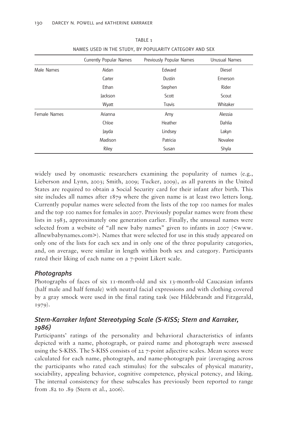|              | Currently Popular Names | Previously Popular Names | <b>Unusual Names</b> |
|--------------|-------------------------|--------------------------|----------------------|
| Male Names   | Aidan                   | Edward                   | Diesel               |
|              | Carter                  | Dustin                   | Emerson              |
|              | Ethan                   | Stephen                  | Rider                |
|              | lackson                 | Scott                    | Scout                |
|              | Wyatt                   | <b>Travis</b>            | Whitaker             |
| Female Names | Arianna                 | Amy                      | Alessia              |
|              | Chloe                   | Heather                  | Dahlia               |
|              | Jayda                   | Lindsey                  | Lakyn                |
|              | Madison                 | Patricia                 | Novalee              |
|              | Riley                   | Susan                    | Shyla                |

TABLE<sub>1</sub> NAMES USED IN THE STUDY, BY POPULARITY CATEGORY AND SEX

widely used by onomastic researchers examining the popularity of names (e.g., Lieberson and Lynn, 2003; Smith, 2009; Tucker, 2009), as all parents in the United States are required to obtain a Social Security card for their infant after birth. This site includes all names after 1879 where the given name is at least two letters long. Currently popular names were selected from the lists of the top 100 names for males and the top 100 names for females in 2007. Previously popular names were from these lists in 1983, approximately one generation earlier. Finally, the unusual names were selected from a website of "all new baby names" given to infants in 2007 (<www. allnewbabynames.com>). Names that were selected for use in this study appeared on only one of the lists for each sex and in only one of the three popularity categories, and, on average, were similar in length within both sex and category. Participants rated their liking of each name on a 7-point Likert scale.

# *Photographs*

Photographs of faces of six 11-month-old and six 13-month-old Caucasian infants (half male and half female) with neutral facial expressions and with clothing covered by a gray smock were used in the final rating task (see Hildebrandt and Fitzgerald, 1979).

# *Stern-Karraker Infant Stereotyping Scale (S-KISS; Stern and Karraker, 1986)*

Participants' ratings of the personality and behavioral characteristics of infants depicted with a name, photograph, or paired name and photograph were assessed using the S-KISS. The S-KISS consists of 22 7-point adjective scales. Mean scores were calculated for each name, photograph, and name-photograph pair (averaging across the participants who rated each stimulus) for the subscales of physical maturity, sociability, appealing behavior, cognitive competence, physical potency, and liking. The internal consistency for these subscales has previously been reported to range from .82 to .89 (Stern et al., 2006).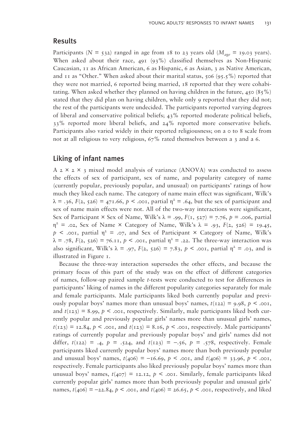#### Results

Participants ( $N = 532$ ) ranged in age from 18 to 23 years old ( $M_{\text{age}} = 19.03$  years). When asked about their race, 491 (93%) classified themselves as Non-Hispanic Caucasian, 11 as African American, 6 as Hispanic, 6 as Asian, 3 as Native American, and  $\overline{11}$  as "Other." When asked about their marital status, 506 (95.5%) reported that they were not married, 6 reported being married, 18 reported that they were cohabitating. When asked whether they planned on having children in the future, 450 (85%) stated that they did plan on having children, while only 9 reported that they did not; the rest of the participants were undecided. The participants reported varying degrees of liberal and conservative political beliefs; 43% reported moderate political beliefs, 33% reported more liberal beliefs, and 24% reported more conservative beliefs. Participants also varied widely in their reported religiousness; on a 0 to 8 scale from not at all religious to very religious, 67% rated themselves between a 3 and a 6.

# Liking of infant names

A  $2 \times 2 \times 3$  mixed model analysis of variance (ANOVA) was conducted to assess the effects of sex of participant, sex of name, and popularity category of name (currently popular, previously popular, and unusual) on participants' ratings of how much they liked each name. The category of name main effect was significant, Wilk's  $\lambda = .36$ ,  $F(z, 526) = 471.66$ ,  $p < .001$ , partial  $\eta^2 = .64$ , but the sex of participant and sex of name main effects were not. All of the two-way interactions were significant, Sex of Participant  $\times$  Sex of Name, Wilk's  $\lambda = .99$ ,  $F(1, 527) = 7.76$ ,  $p = .006$ , partial  $\eta^2$  = .02, Sex of Name × Category of Name, Wilk's  $\lambda$  = .93,  $F(2, 526)$  = 19.45,  $p$  < .001, partial  $\eta^2$  = .07, and Sex of Participant × Category of Name, Wilk's  $\lambda = .78$ ,  $F(z, 526) = 76.11$ ,  $p < .001$ , partial  $\eta^2 = .22$ . The three-way interaction was also significant, Wilk's  $\lambda = .97$ ,  $F(z, 526) = 7.83$ ,  $p < .001$ , partial  $\eta^2 = .03$ , and is illustrated in Figure 1.

Because the three-way interaction supersedes the other effects, and because the primary focus of this part of the study was on the effect of different categories of names, follow-up paired sample *t*-tests were conducted to test for differences in participants' liking of names in the different popularity categories separately for male and female participants. Male participants liked both currently popular and previously popular boys' names more than unusual boys' names,  $t(122) = 9.98$ ,  $p < .001$ , and  $t(123) = 8.99$ ,  $p < .001$ , respectively. Similarly, male participants liked both currently popular and previously popular girls' names more than unusual girls' names,  $t(123) = 12.84$ ,  $p \leq$  .001, and  $t(123) = 8.16$ ,  $p \leq$  .001, respectively. Male participants' ratings of currently popular and previously popular boys' and girls' names did not differ,  $t(122) = .4$ ,  $p = .524$ , and  $t(123) = -.56$ ,  $p = .578$ , respectively. Female participants liked currently popular boys' names more than both previously popular and unusual boys' names,  $t(406) = -16.69$ ,  $p < .001$ , and  $t(406) = 33.96$ ,  $p < .001$ , respectively. Female participants also liked previously popular boys' names more than unusual boys' names,  $t(407) = 12.12$ ,  $p < .001$ . Similarly, female participants liked currently popular girls' names more than both previously popular and unusual girls' names,  $t(406) = -22.84$ ,  $p < .001$ , and  $t(406) = 26.65$ ,  $p < .001$ , respectively, and liked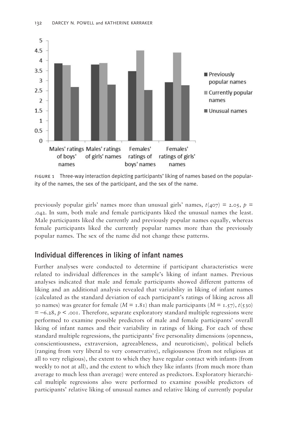

figure 1 Three-way interaction depicting participants' liking of names based on the popularity of the names, the sex of the participant, and the sex of the name.

previously popular girls' names more than unusual girls' names,  $t(407) = 2.05$ ,  $p =$ .042. In sum, both male and female participants liked the unusual names the least. Male participants liked the currently and previously popular names equally, whereas female participants liked the currently popular names more than the previously popular names. The sex of the name did not change these patterns.

# Individual differences in liking of infant names

Further analyses were conducted to determine if participant characteristics were related to individual differences in the sample's liking of infant names. Previous analyses indicated that male and female participants showed different patterns of liking and an additional analysis revealed that variability in liking of infant names (calculated as the standard deviation of each participant's ratings of liking across all 30 names) was greater for female ( $M = 1.81$ ) than male participants ( $M = 1.57$ ),  $t(530)$ = −6.28, *p* < .001. Therefore, separate exploratory standard multiple regressions were performed to examine possible predictors of male and female participants' overall liking of infant names and their variability in ratings of liking. For each of these standard multiple regressions, the participants' five personality dimensions (openness, conscientiousness, extraversion, agreeableness, and neuroticism), political beliefs (ranging from very liberal to very conservative), religiousness (from not religious at all to very religious), the extent to which they have regular contact with infants (from weekly to not at all), and the extent to which they like infants (from much more than average to much less than average) were entered as predictors. Exploratory hierarchical multiple regressions also were performed to examine possible predictors of participants' relative liking of unusual names and relative liking of currently popular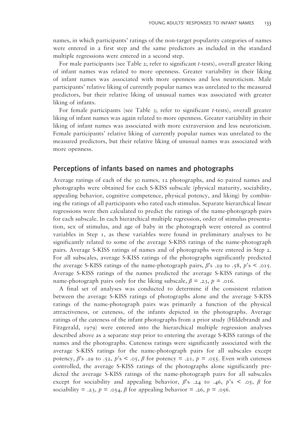names, in which participants' ratings of the non-target popularity categories of names were entered in a first step and the same predictors as included in the standard multiple regressions were entered in a second step.

For male participants (see Table 2; refer to significant *t*-tests), overall greater liking of infant names was related to more openness. Greater variability in their liking of infant names was associated with more openness and less neuroticism. Male participants' relative liking of currently popular names was unrelated to the measured predictors, but their relative liking of unusual names was associated with greater liking of infants.

For female participants (see Table 3; refer to significant *t*-tests), overall greater liking of infant names was again related to more openness. Greater variability in their liking of infant names was associated with more extraversion and less neuroticism. Female participants' relative liking of currently popular names was unrelated to the measured predictors, but their relative liking of unusual names was associated with more openness.

#### Perceptions of infants based on names and photographs

Average ratings of each of the 30 names, 12 photographs, and 60 paired names and photographs were obtained for each S-KISS subscale (physical maturity, sociability, appealing behavior, cognitive competence, physical potency, and liking) by combining the ratings of all participants who rated each stimulus. Separate hierarchical linear regressions were then calculated to predict the ratings of the name-photograph pairs for each subscale. In each hierarchical multiple regression, order of stimulus presentation, sex of stimulus, and age of baby in the photograph were entered as control variables in Step 1, as these variables were found in preliminary analyses to be significantly related to some of the average S-KISS ratings of the name-photograph pairs. Average S-KISS ratings of names and of photographs were entered in Step 2. For all subscales, average S-KISS ratings of the photographs significantly predicted the average S-KISS ratings of the name-photograph pairs,  $\beta$ 's .29 to .58,  $p$ 's < .015. Average S-KISS ratings of the names predicted the average S-KISS ratings of the name-photograph pairs only for the liking subscale,  $\beta = .23$ ,  $p = .016$ .

A final set of analyses was conducted to determine if the consistent relation between the average S-KISS ratings of photographs alone and the average S-KISS ratings of the name-photograph pairs was primarily a function of the physical attractiveness, or cuteness, of the infants depicted in the photographs. Average ratings of the cuteness of the infant photographs from a prior study (Hildebrandt and Fitzgerald, 1979) were entered into the hierarchical multiple regression analyses described above as a separate step prior to entering the average S-KISS ratings of the names and the photographs. Cuteness ratings were significantly associated with the average S-KISS ratings for the name-photograph pairs for all subscales except potency, *β*'s .29 to .52, *p*'s < .05, *β* for potency = .21, *p* = .055. Even with cuteness controlled, the average S-KISS ratings of the photographs alone significantly predicted the average S-KISS ratings of the name-photograph pairs for all subscales except for sociability and appealing behavior,  $\beta$ 's .24 to .46,  $p$ 's < .05,  $\beta$  for sociability = .23,  $p = .054$ ,  $\beta$  for appealing behavior = .26,  $p = .056$ .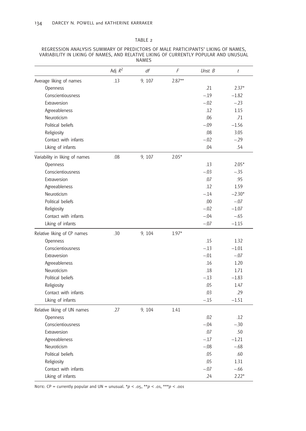|                                | Adj $R^2$ | df     | F        | Unst. B | $\boldsymbol{t}$ |
|--------------------------------|-----------|--------|----------|---------|------------------|
| Average liking of names        | .13       | 9, 107 | $2.87**$ |         |                  |
| Openness                       |           |        |          | .21     | $2.37*$          |
| Conscientiousness              |           |        |          | $-.19$  | $-1.82$          |
| Extraversion                   |           |        |          | $-.02$  | $-.23$           |
| Agreeableness                  |           |        |          | .12     | 1.15             |
| Neuroticism                    |           |        |          | .06     | .71              |
| Political beliefs              |           |        |          | $-.09$  | $-1.56$          |
| Religiosity                    |           |        |          | .08     | 3.05             |
| Contact with infants           |           |        |          | $-.02$  | $-.29$           |
| Liking of infants              |           |        |          | .04     | .54              |
| Variability in liking of names | .08       | 9, 107 | $2.05*$  |         |                  |
| Openness                       |           |        |          | .13     | $2.05*$          |
| Conscientiousness              |           |        |          | $-.03$  | $-.35$           |
| Extraversion                   |           |        |          | .07     | .95              |
| Agreeableness                  |           |        |          | .12     | 1.59             |
| Neuroticism                    |           |        |          | $-.14$  | $-2.30*$         |
| Political beliefs              |           |        |          | .00     | $-.07$           |
| Religiosity                    |           |        |          | $-.02$  | $-1.07$          |
| Contact with infants           |           |        |          | $-.04$  | $-.65$           |
| Liking of infants              |           |        |          | $-.07$  | $-1.15$          |
| Relative liking of CP names    | .30       | 9, 104 | $1.97*$  |         |                  |
| Openness                       |           |        |          | .15     | 1.32             |
| Conscientiousness              |           |        |          | $-.13$  | $-1.01$          |
| Extraversion                   |           |        |          | $-.01$  | $-.07$           |
| Agreeableness                  |           |        |          | .16     | 1.20             |
| Neuroticism                    |           |        |          | .18     | 1.71             |
| Political beliefs              |           |        |          | $-.13$  | $-1.83$          |
| Religiosity                    |           |        |          | .05     | 1.47             |
| Contact with infants           |           |        |          | .03     | .29              |
| Liking of infants              |           |        |          | $-.15$  | $-1.51$          |
| Relative liking of UN names    | .27       | 9, 104 | 1.41     |         |                  |
| Openness                       |           |        |          | .02     | .12              |
| Conscientiousness              |           |        |          | $-.04$  | $-.30$           |
| Extraversion                   |           |        |          | .07     | .50              |
| Agreeableness                  |           |        |          | $-.17$  | $-1.21$          |
| Neuroticism                    |           |        |          | $-.08$  | $-.68$           |
| Political beliefs              |           |        |          | .05     | .60              |
| Religiosity                    |           |        |          | .05     | 1.31             |
| Contact with infants           |           |        |          | $-.07$  | $-.66$           |
| Liking of infants              |           |        |          | .24     | $2.22*$          |

#### REGRESSION ANALYSIS SUMMARY OF PREDICTORS OF MALE PARTICIPANTS' LIKING OF NAMES, VARIABILITY IN LIKING OF NAMES, AND RELATIVE LIKING OF CURRENTLY POPULAR AND UNUSUAL NAMES

TABLE 2

NOTE: CP = currently popular and UN = unusual.  $*p < .05$ ,  $**p < .01$ ,  $***p < .001$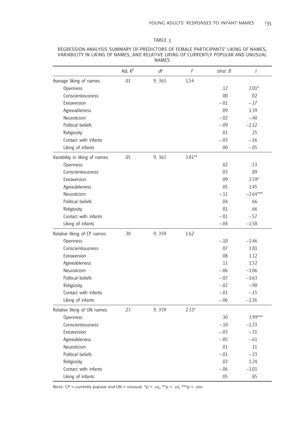|                                | Adj $R^2$ | df     | F        | Unst. B | $\boldsymbol{t}$ |
|--------------------------------|-----------|--------|----------|---------|------------------|
| Average liking of names        | .01       | 9, 363 | 1.54     |         |                  |
| Openness                       |           |        |          | .12     | $2.01*$          |
| Conscientiousness              |           |        |          | .00     | .02              |
| Extraversion                   |           |        |          | $-01$   | $-.17$           |
| Agreeableness                  |           |        |          | .09     | 1.39             |
| Neuroticism                    |           |        |          | $-02$   | $-.40$           |
| Political beliefs              |           |        |          | $-.09$  | $-2.12$          |
| Religiosity                    |           |        |          | .01     | .25              |
| Contact with infants           |           |        |          | $-03$   | $-.56$           |
| Liking of infants              |           |        |          | .00     | $-.05$           |
| Variability in liking of names | .05       | 9, 363 | $3.01**$ |         |                  |
| Openness                       |           |        |          | .02     | .53              |
| Conscientiousness              |           |        |          | .03     | .89              |
| Extraversion                   |           |        |          | .09     | $2.59*$          |
| Agreeableness                  |           |        |          | .05     | 1.45             |
| Neuroticism                    |           |        |          | $-.11$  | $-3.64***$       |
| Political beliefs              |           |        |          | .04     | .66              |
| Religiosity                    |           |        |          | .01     | .66              |
| Contact with infants           |           |        |          | $-.01$  | $-.57$           |
| Liking of infants              |           |        |          | $-.04$  | $-1.58$          |
| Relative liking of CP names    | .30       | 9,359  | 1.62     |         |                  |
| Openness                       |           |        |          | $-.10$  | $-1.46$          |
| Conscientiousness              |           |        |          | .07     | 1.01             |
| Extraversion                   |           |        |          | .08     | 1.12             |
| Agreeableness                  |           |        |          | .11     | 1.52             |
| Neuroticism                    |           |        |          | $-.06$  | $-1.06$          |
| Political beliefs              |           |        |          | $-.07$  | $-1.63$          |
| Religiosity                    |           |        |          | $-.02$  | $-.90$           |
| Contact with infants           |           |        |          | $-.01$  | $-.15$           |
| Liking of infants              |           |        |          | $-.06$  | $-1.26$          |
| Relative liking of UN names    | .23       | 9,359  | $2.33*$  |         |                  |
| Openness                       |           |        |          | .30     | 3.99***          |
| Conscientiousness              |           |        |          | $-.10$  | $-1.23$          |
| Extraversion                   |           |        |          | $-.03$  | $-31$            |
| Agreeableness                  |           |        |          | $-.05$  | $-61$            |
| Neuroticism                    |           |        |          | .01     | .11              |
| Political beliefs              |           |        |          | $-01$   | $-23$            |
| Religiosity                    |           |        |          | .03     | 1.24             |
| Contact with infants           |           |        |          | $-06$   | $-1.01$          |
| Liking of infants              |           |        |          | .05     | .85              |

| REGRESSION ANALYSIS SUMMARY OF PREDICTORS OF FEMALE PARTICIPANTS' LIKING OF NAMES.   |       |  |
|--------------------------------------------------------------------------------------|-------|--|
| VARIABILITY IN LIKING OF NAMES. AND RELATIVE LIKING OF CURRENTLY POPULAR AND UNUSUAL |       |  |
|                                                                                      | NAMES |  |

TABLE 3

NOTE:  $\text{CP} = \text{currently popular and UN} = \text{unusual.}$   $* p < .05,$   $** p < .01,$   $*** p < .001$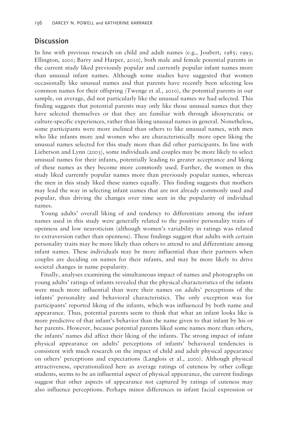## **Discussion**

In line with previous research on child and adult names (e.g., Joubert, 1985; 1993; Ellington, 2001; Barry and Harper, 2010), both male and female potential parents in the current study liked previously popular and currently popular infant names more than unusual infant names. Although some studies have suggested that women occasionally like unusual names and that parents have recently been selecting less common names for their offspring (Twenge et al., 2010), the potential parents in our sample, on average, did not particularly like the unusual names we had selected. This finding suggests that potential parents may only like those unusual names that they have selected themselves or that they are familiar with through idiosyncratic or culture-specific experiences, rather than liking unusual names in general. Nonetheless, some participants were more inclined than others to like unusual names, with men who like infants more and women who are characteristically more open liking the unusual names selected for this study more than did other participants. In line with Lieberson and Lynn (2003), some individuals and couples may be more likely to select unusual names for their infants, potentially leading to greater acceptance and liking of these names as they become more commonly used. Further, the women in this study liked currently popular names more than previously popular names, whereas the men in this study liked these names equally. This finding suggests that mothers may lead the way in selecting infant names that are not already commonly used and popular, thus driving the changes over time seen in the popularity of individual names.

Young adults' overall liking of and tendency to differentiate among the infant names used in this study were generally related to the positive personality traits of openness and low neuroticism (although women's variability in ratings was related to extraversion rather than openness). These findings suggest that adults with certain personality traits may be more likely than others to attend to and differentiate among infant names. These individuals may be more influential than their partners when couples are deciding on names for their infants, and may be more likely to drive societal changes in name popularity.

Finally, analyses examining the simultaneous impact of names and photographs on young adults' ratings of infants revealed that the physical characteristics of the infants were much more influential than were their names on adults' perceptions of the infants' personality and behavioral characteristics. The only exception was for participants' reported liking of the infants, which was influenced by both name and appearance. Thus, potential parents seem to think that what an infant looks like is more predictive of that infant's behavior than the name given to that infant by his or her parents. However, because potential parents liked some names more than others, the infants' names did affect their liking of the infants. The strong impact of infant physical appearance on adults' perceptions of infants' behavioral tendencies is consistent with much research on the impact of child and adult physical appearance on others' perceptions and expectations (Langlois et al., 2000). Although physical attractiveness, operationalized here as average ratings of cuteness by other college students, seems to be an influential aspect of physical appearance, the current findings suggest that other aspects of appearance not captured by ratings of cuteness may also influence perceptions. Perhaps minor differences in infant facial expression or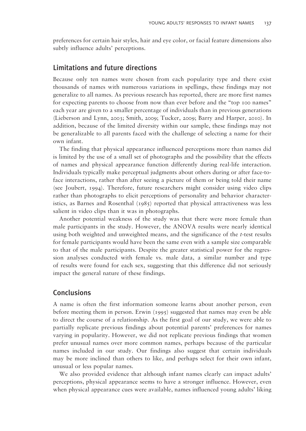preferences for certain hair styles, hair and eye color, or facial feature dimensions also subtly influence adults' perceptions.

# Limitations and future directions

Because only ten names were chosen from each popularity type and there exist thousands of names with numerous variations in spellings, these findings may not generalize to all names. As previous research has reported, there are more first names for expecting parents to choose from now than ever before and the "top 100 names" each year are given to a smaller percentage of individuals than in previous generations (Lieberson and Lynn, 2003; Smith, 2009; Tucker, 2009; Barry and Harper, 2010). In addition, because of the limited diversity within our sample, these findings may not be generalizable to all parents faced with the challenge of selecting a name for their own infant.

The finding that physical appearance influenced perceptions more than names did is limited by the use of a small set of photographs and the possibility that the effects of names and physical appearance function differently during real-life interaction. Individuals typically make perceptual judgments about others during or after face-toface interactions, rather than after seeing a picture of them or being told their name (see Joubert, 1994). Therefore, future researchers might consider using video clips rather than photographs to elicit perceptions of personality and behavior characteristics, as Barnes and Rosenthal  $(1985)$  reported that physical attractiveness was less salient in video clips than it was in photographs.

Another potential weakness of the study was that there were more female than male participants in the study. However, the ANOVA results were nearly identical using both weighted and unweighted means, and the significance of the *t*-test results for female participants would have been the same even with a sample size comparable to that of the male participants. Despite the greater statistical power for the regression analyses conducted with female vs. male data, a similar number and type of results were found for each sex, suggesting that this difference did not seriously impact the general nature of these findings.

# Conclusions

A name is often the first information someone learns about another person, even before meeting them in person. Erwin (1995) suggested that names may even be able to direct the course of a relationship. As the first goal of our study, we were able to partially replicate previous findings about potential parents' preferences for names varying in popularity. However, we did not replicate previous findings that women prefer unusual names over more common names, perhaps because of the particular names included in our study. Our findings also suggest that certain individuals may be more inclined than others to like, and perhaps select for their own infant, unusual or less popular names.

We also provided evidence that although infant names clearly can impact adults' perceptions, physical appearance seems to have a stronger influence. However, even when physical appearance cues were available, names influenced young adults' liking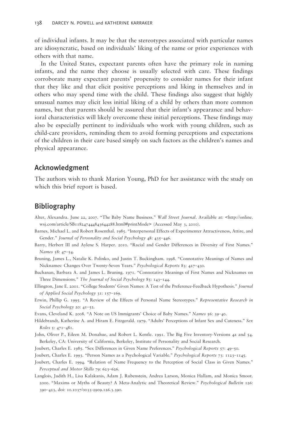of individual infants. It may be that the stereotypes associated with particular names are idiosyncratic, based on individuals' liking of the name or prior experiences with others with that name.

In the United States, expectant parents often have the primary role in naming infants, and the name they choose is usually selected with care. These findings corroborate many expectant parents' propensity to consider names for their infant that they like and that elicit positive perceptions and liking in themselves and in others who may spend time with the child. These findings also suggest that highly unusual names may elicit less initial liking of a child by others than more common names, but that parents should be assured that their infant's appearance and behavioral characteristics will likely overcome these initial perceptions. These findings may also be especially pertinent to individuals who work with young children, such as child-care providers, reminding them to avoid forming perceptions and expectations of the children in their care based simply on such factors as the children's names and physical appearance.

# Acknowledgment

The authors wish to thank Marion Young, PhD for her assistance with the study on which this brief report is based.

# Bibliography

Alter, Alexandra. June 22, 2007. "The Baby Name Business." *Wall Street Journal*. Available at: <http://online. wsj.com/article/SB118247444843644288.html#printMode> (Accessed May 3, 2010).

- Barnes, Michael L. and Robert Rosenthal. 1985. "Interpersonal Effects of Experimenter Attractiveness, Attire, and Gender." *Journal of Personality and Social Psychology* 48: 435–446.
- Barry, Herbert III and Aylene S. Harper. 2010. "Racial and Gender Differences in Diversity of First Names." *Names* 58: 47–54.
- Bruning, James L., Natalie K. Polinko, and Justin T. Buckingham. 1998. "Connotative Meanings of Names and Nicknames: Changes Over Twenty-Seven Years." *Psychological Reports* 83: 427–430.

Buchanan, Barbara A. and James L. Bruning. 1971. "Connotative Meanings of First Names and Nicknames on Three Dimensions." *The Journal of Social Psychology* 85: 143–144.

- Ellington, Jane E. 2001. "College Students' Given Names: A Test of the Preference-Feedback Hypothesis." *Journal of Applied Social Psychology* 31: 157–169.
- Erwin, Phillip G. 1995. "A Review of the Effects of Personal Name Stereotypes." *Representative Research in Social Psychology* 20: 41–52.

Evans, Cleveland K. 2008. "A Note on US Immigrants' Choice of Baby Names." *Names* 56: 39–40.

- Hildebrandt, Katherine A. and Hiram E. Fitzgerald. 1979. "Adults' Perceptions of Infant Sex and Cuteness." *Sex Roles* 5: 471–481.
- John, Oliver P., Eileen M. Donahue, and Robert L. Kentle. 1991. The Big Five Inventory-Versions 4a and 54. Berkeley, CA: University of California, Berkeley, Institute of Personality and Social Research.
- Joubert, Charles E. 1985. "Sex Differences in Given Name Preferences." *Psychological Reports* 57: 49–50.
- Joubert, Charles E. 1993. "Person Names as a Psychological Variable." *Psychological Reports* 73: 1123–1145.
- Joubert, Charles E. 1994. "Relation of Name Frequency to the Perception of Social Class in Given Names." *Perceptual and Motor Skills* 79: 623–626.
- Langlois, Judith H., Lisa Kalakanis, Adam J. Rubenstein, Andrea Larson, Monica Hallam, and Monica Smoot. 2000. "Maxims or Myths of Beauty? A Meta-Analytic and Theoretical Review." *Psychological Bulletin* 126: 390–423, doi: 10.1037/0033-2909.126.3.390.